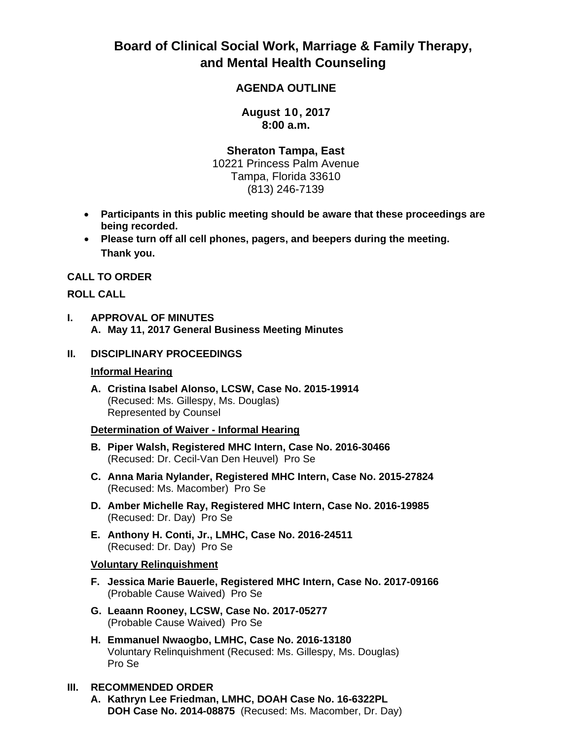# **Board of Clinical Social Work, Marriage & Family Therapy, and Mental Health Counseling**

# **AGENDA OUTLINE**

**August 10, 2017 8:00 a.m.**

**Sheraton Tampa, East** 

10221 Princess Palm Avenue Tampa, Florida 33610 (813) 246-7139

- **Participants in this public meeting should be aware that these proceedings are being recorded.**
- **Please turn off all cell phones, pagers, and beepers during the meeting. Thank you.**

#### **CALL TO ORDER**

## **ROLL CALL**

**I. APPROVAL OF MINUTES A. May 11, 2017 General Business Meeting Minutes**

#### **II. DISCIPLINARY PROCEEDINGS**

#### **Informal Hearing**

**A. Cristina Isabel Alonso, LCSW, Case No. 2015-19914** (Recused: Ms. Gillespy, Ms. Douglas) Represented by Counsel

#### **Determination of Waiver - Informal Hearing**

- **B. Piper Walsh, Registered MHC Intern, Case No. 2016-30466** (Recused: Dr. Cecil-Van Den Heuvel) Pro Se
- **C. Anna Maria Nylander, Registered MHC Intern, Case No. 2015-27824** (Recused: Ms. Macomber) Pro Se
- **D. Amber Michelle Ray, Registered MHC Intern, Case No. 2016-19985**  (Recused: Dr. Day) Pro Se
- **E. Anthony H. Conti, Jr., LMHC, Case No. 2016-24511**  (Recused: Dr. Day) Pro Se

#### **Voluntary Relinquishment**

- **F. Jessica Marie Bauerle, Registered MHC Intern, Case No. 2017-09166** (Probable Cause Waived) Pro Se
- **G. Leaann Rooney, LCSW, Case No. 2017-05277**  (Probable Cause Waived) Pro Se
- **H. Emmanuel Nwaogbo, LMHC, Case No. 2016-13180** Voluntary Relinquishment (Recused: Ms. Gillespy, Ms. Douglas) Pro Se

#### **III. RECOMMENDED ORDER**

**A. Kathryn Lee Friedman, LMHC, DOAH Case No. 16-6322PL DOH Case No. 2014-08875** (Recused: Ms. Macomber, Dr. Day)